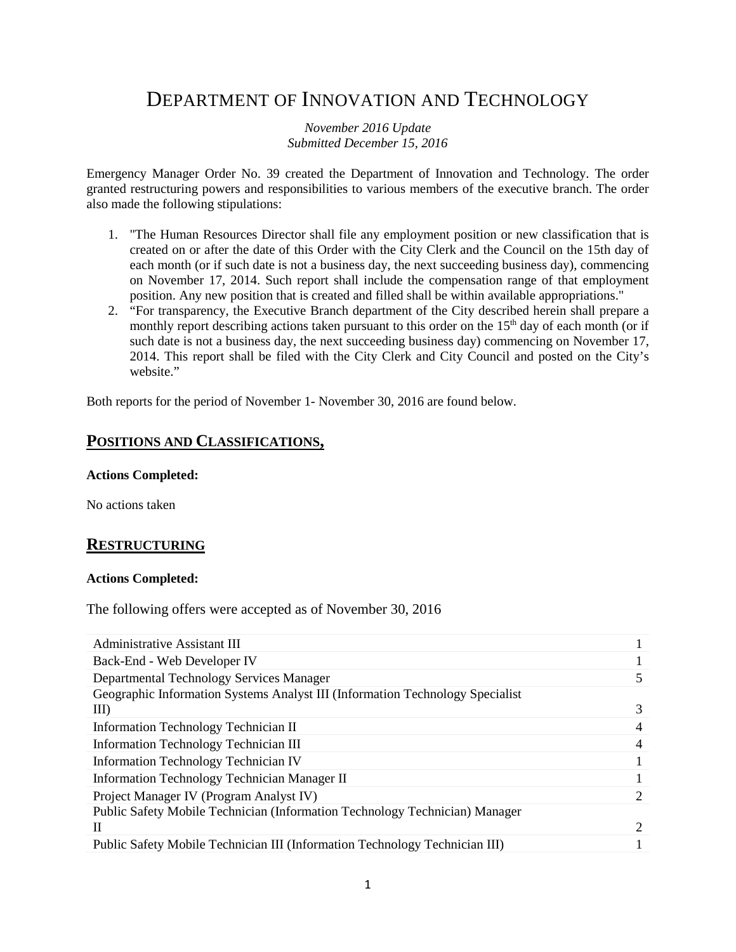# DEPARTMENT OF INNOVATION AND TECHNOLOGY

*November 2016 Update Submitted December 15, 2016*

Emergency Manager Order No. 39 created the Department of Innovation and Technology. The order granted restructuring powers and responsibilities to various members of the executive branch. The order also made the following stipulations:

- 1. "The Human Resources Director shall file any employment position or new classification that is created on or after the date of this Order with the City Clerk and the Council on the 15th day of each month (or if such date is not a business day, the next succeeding business day), commencing on November 17, 2014. Such report shall include the compensation range of that employment position. Any new position that is created and filled shall be within available appropriations."
- 2. "For transparency, the Executive Branch department of the City described herein shall prepare a monthly report describing actions taken pursuant to this order on the 15<sup>th</sup> day of each month (or if such date is not a business day, the next succeeding business day) commencing on November 17, 2014. This report shall be filed with the City Clerk and City Council and posted on the City's website."

Both reports for the period of November 1- November 30, 2016 are found below.

## **POSITIONS AND CLASSIFICATIONS,**

**Actions Completed:**

No actions taken

### **RESTRUCTURING**

#### **Actions Completed:**

The following offers were accepted as of November 30, 2016

| <b>Administrative Assistant III</b>                                           |                       |
|-------------------------------------------------------------------------------|-----------------------|
| Back-End - Web Developer IV                                                   |                       |
| Departmental Technology Services Manager                                      |                       |
| Geographic Information Systems Analyst III (Information Technology Specialist |                       |
| III                                                                           |                       |
| Information Technology Technician II                                          |                       |
| <b>Information Technology Technician III</b>                                  |                       |
| <b>Information Technology Technician IV</b>                                   |                       |
| Information Technology Technician Manager II                                  |                       |
| Project Manager IV (Program Analyst IV)                                       |                       |
| Public Safety Mobile Technician (Information Technology Technician) Manager   |                       |
| Н                                                                             | $\mathcal{D}_{\cdot}$ |
| Public Safety Mobile Technician III (Information Technology Technician III)   |                       |